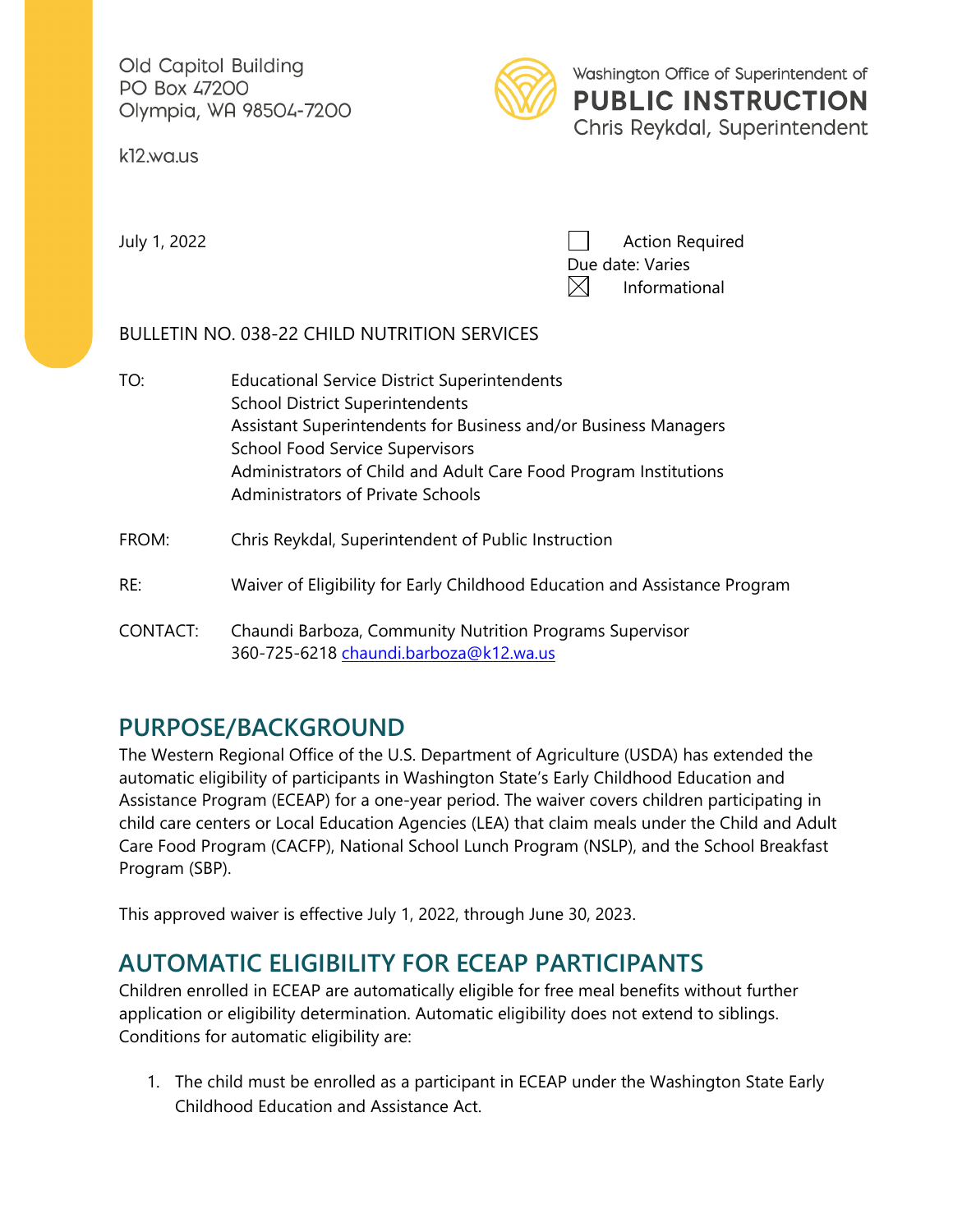Old Capitol Building PO Box 47200 Olympia, WA 98504-7200

k12.wa.us



Washington Office of Superintendent of **PUBLIC INSTRUCTION** Chris Reykdal, Superintendent

July 1, 2022 **Action Required** Due date: Varies  $\boxtimes$ Informational

### BULLETIN NO. 038-22 CHILD NUTRITION SERVICES

- TO: Educational Service District Superintendents School District Superintendents Assistant Superintendents for Business and/or Business Managers School Food Service Supervisors Administrators of Child and Adult Care Food Program Institutions Administrators of Private Schools FROM: Chris Reykdal, Superintendent of Public Instruction RE: Waiver of Eligibility for Early Childhood Education and Assistance Program
- CONTACT: Chaundi Barboza, Community Nutrition Programs Supervisor 360-725-6218 [chaundi.barboza@k12.wa.us](mailto:chaundi.barboza@k12.wa.us)

# **PURPOSE/BACKGROUND**

The Western Regional Office of the U.S. Department of Agriculture (USDA) has extended the automatic eligibility of participants in Washington State's Early Childhood Education and Assistance Program (ECEAP) for a one-year period. The waiver covers children participating in child care centers or Local Education Agencies (LEA) that claim meals under the Child and Adult Care Food Program (CACFP), National School Lunch Program (NSLP), and the School Breakfast Program (SBP).

This approved waiver is effective July 1, 2022, through June 30, 2023.

## **AUTOMATIC ELIGIBILITY FOR ECEAP PARTICIPANTS**

Children enrolled in ECEAP are automatically eligible for free meal benefits without further application or eligibility determination. Automatic eligibility does not extend to siblings. Conditions for automatic eligibility are:

1. The child must be enrolled as a participant in ECEAP under the Washington State Early Childhood Education and Assistance Act.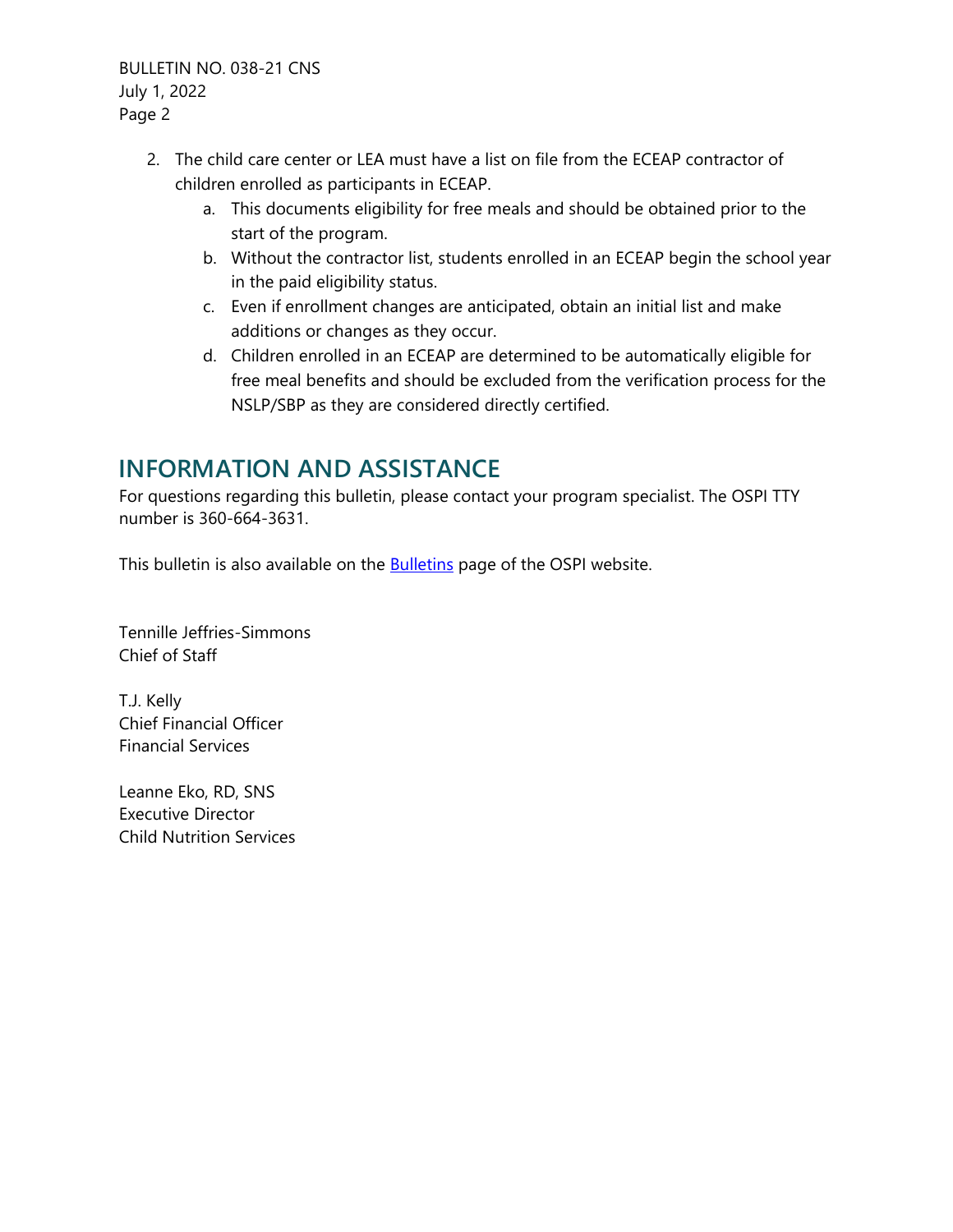BULLETIN NO. 038-21 CNS July 1, 2022 Page 2

- 2. The child care center or LEA must have a list on file from the ECEAP contractor of children enrolled as participants in ECEAP.
	- a. This documents eligibility for free meals and should be obtained prior to the start of the program.
	- b. Without the contractor list, students enrolled in an ECEAP begin the school year in the paid eligibility status.
	- c. Even if enrollment changes are anticipated, obtain an initial list and make additions or changes as they occur.
	- d. Children enrolled in an ECEAP are determined to be automatically eligible for free meal benefits and should be excluded from the verification process for the NSLP/SBP as they are considered directly certified.

# **INFORMATION AND ASSISTANCE**

For questions regarding this bulletin, please contact your program specialist. The OSPI TTY number is 360-664-3631.

This bulletin is also available on the **Bulletins** page of the OSPI website.

Tennille Jeffries-Simmons Chief of Staff

T.J. Kelly Chief Financial Officer Financial Services

Leanne Eko, RD, SNS Executive Director Child Nutrition Services